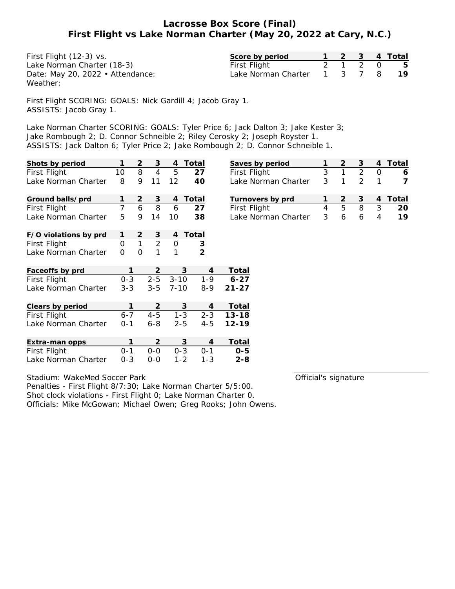## **Lacrosse Box Score (Final) First Flight vs Lake Norman Charter (May 20, 2022 at Cary, N.C.)**

| First Flight (12-3) vs.          | Score by period             |         |  | 1 2 3 4 Total |
|----------------------------------|-----------------------------|---------|--|---------------|
| Lake Norman Charter (18-3)       | First Flight                | 2 1 2 0 |  | - 5           |
| Date: May 20, 2022 • Attendance: | Lake Norman Charter 1 3 7 8 |         |  | - 19          |
| Weather:                         |                             |         |  |               |

First Flight SCORING: GOALS: Nick Gardill 4; Jacob Gray 1. ASSISTS: Jacob Gray 1.

Lake Norman Charter SCORING: GOALS: Tyler Price 6; Jack Dalton 3; Jake Kester 3; Jake Rombough 2; D. Connor Schneible 2; Riley Cerosky 2; Joseph Royster 1. ASSISTS: Jack Dalton 6; Tyler Price 2; Jake Rombough 2; D. Connor Schneible 1.

| Shots by period       |                | $\overline{2}$ | 3              | 4             | Total          | Saves by period     |                | $\overline{2}$ | 3              | $\overline{4}$ | Total          |
|-----------------------|----------------|----------------|----------------|---------------|----------------|---------------------|----------------|----------------|----------------|----------------|----------------|
| First Flight          | 10             | 8              | $\overline{4}$ | 5             | 27             | First Flight        | 3              | 1              | $\overline{2}$ | $\Omega$       | 6              |
| Lake Norman Charter   | 8              | 9              | 11             | 12            | 40             | Lake Norman Charter | 3              | 1              | $\overline{2}$ |                | $\overline{7}$ |
| Ground balls/prd      |                | 2              | 3              | 4             | Total          | Turnovers by prd    |                | $\overline{2}$ | 3              | 4              | Total          |
| First Flight          | 7              | 6              | 8              | 6             | 27             | First Flight        | $\overline{4}$ | 5              | 8              | 3              | 20             |
| Lake Norman Charter   | 5              | 9              | 14             | 10            | 38             | Lake Norman Charter | 3              | 6              | 6              | 4              | 19             |
| F/O violations by prd | 1              | 2              | 3              | 4             | Total          |                     |                |                |                |                |                |
| First Flight          | $\overline{0}$ | $\mathbf{1}$   | $\overline{2}$ | $\mathcal{O}$ | 3              |                     |                |                |                |                |                |
| Lake Norman Charter   | $\mathcal{O}$  | $\mathcal{O}$  | 1              | 1             | $\overline{2}$ |                     |                |                |                |                |                |
| Faceoffs by prd       |                |                | 2              | 3             | 4              | Total               |                |                |                |                |                |
| First Flight          | $0 - 3$        |                | $2 - 5$        | $3 - 10$      | $1 - 9$        | $6 - 27$            |                |                |                |                |                |
| Lake Norman Charter   | $3 - 3$        |                | $3 - 5$        | $7 - 10$      | $8 - 9$        | $21 - 27$           |                |                |                |                |                |
| Clears by period      | 1              |                | 2              | 3             | 4              | Total               |                |                |                |                |                |
| First Flight          | $6 - 7$        |                | $4 - 5$        | $1 - 3$       | $2 - 3$        | $13 - 18$           |                |                |                |                |                |
| Lake Norman Charter   | $0 - 1$        |                | $6 - 8$        | $2 - 5$       | $4 - 5$        | $12 - 19$           |                |                |                |                |                |
| Extra-man opps        | 1              |                | 2              | 3             | 4              | Total               |                |                |                |                |                |
| First Flight          | $0 - 1$        |                | $0-0$          | $0 - 3$       | $0 - 1$        | $O - 5$             |                |                |                |                |                |
| Lake Norman Charter   | $0 - 3$        |                | $0 - 0$        | $1 - 2$       | $1 - 3$        | $2 - 8$             |                |                |                |                |                |

Official's signature

Stadium: WakeMed Soccer Park Penalties - First Flight 8/7:30; Lake Norman Charter 5/5:00. Shot clock violations - First Flight 0; Lake Norman Charter 0. Officials: Mike McGowan; Michael Owen; Greg Rooks; John Owens.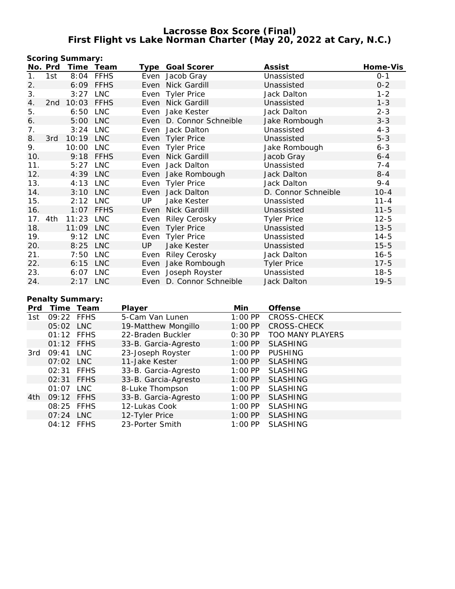## **Lacrosse Box Score (Final) First Flight vs Lake Norman Charter (May 20, 2022 at Cary, N.C.)**

|     |         | Scoring Summary: |             |      |                          |                     |          |
|-----|---------|------------------|-------------|------|--------------------------|---------------------|----------|
|     | No. Prd | Time Team        |             |      | Type Goal Scorer         | Assist              | Home-Vis |
| 1.  | 1st     | 8:04             | <b>FFHS</b> |      | Even Jacob Gray          | Unassisted          | $0 - 1$  |
| 2.  |         | 6:09             | <b>FFHS</b> |      | Even Nick Gardill        | Unassisted          | $0 - 2$  |
| 3.  |         | 3:27             | LNC         |      | Even Tyler Price         | Jack Dalton         | $1 - 2$  |
| 4.  | 2nd     | 10:03            | <b>FFHS</b> |      | Even Nick Gardill        | Unassisted          | $1 - 3$  |
| 5.  |         | 6:50             | LNC         | Even | Jake Kester              | Jack Dalton         | $2 - 3$  |
| 6.  |         | 5:00 LNC         |             |      | Even D. Connor Schneible | Jake Rombough       | $3 - 3$  |
| 7.  |         | 3:24             | LNC         |      | Even Jack Dalton         | Unassisted          | $4 - 3$  |
| 8.  | 3rd     | 10:19 LNC        |             |      | Even Tyler Price         | Unassisted          | $5 - 3$  |
| 9.  |         | 10:00 LNC        |             |      | Even Tyler Price         | Jake Rombough       | $6 - 3$  |
| 10. |         |                  | 9:18 FFHS   |      | Even Nick Gardill        | Jacob Gray          | $6 - 4$  |
| 11. |         | 5:27 LNC         |             |      | Even Jack Dalton         | Unassisted          | $7 - 4$  |
| 12. |         | 4:39 LNC         |             |      | Even Jake Rombough       | Jack Dalton         | $8 - 4$  |
| 13. |         | 4:13 LNC         |             |      | Even Tyler Price         | Jack Dalton         | $9 - 4$  |
| 14. |         | 3:10             | <b>LNC</b>  | Even | Jack Dalton              | D. Connor Schneible | $10 - 4$ |
| 15. |         | 2:12 LNC         |             | UP   | Jake Kester              | Unassisted          | $11 - 4$ |
| 16. |         | 1:07             | <b>FFHS</b> | Even | Nick Gardill             | Unassisted          | $11 - 5$ |
| 17. | 4th     | 11:23            | LNC         | Even | <b>Riley Cerosky</b>     | <b>Tyler Price</b>  | $12 - 5$ |
| 18. |         | 11:09 LNC        |             |      | Even Tyler Price         | Unassisted          | $13 - 5$ |
| 19. |         | 9:12 LNC         |             |      | Even Tyler Price         | Unassisted          | $14 - 5$ |
| 20. |         | 8:25 LNC         |             | UP.  | Jake Kester              | Unassisted          | $15 - 5$ |
| 21. |         | 7:50             | <b>LNC</b>  | Even | <b>Riley Cerosky</b>     | Jack Dalton         | $16 - 5$ |
| 22. |         | 6:15             | <b>LNC</b>  |      | Even Jake Rombough       | <b>Tyler Price</b>  | $17 - 5$ |
| 23. |         | 6:07             | <b>LNC</b>  | Even | Joseph Royster           | Unassisted          | $18 - 5$ |
| 24. |         | 2:17 LNC         |             |      | Even D. Connor Schneible | Jack Dalton         | $19 - 5$ |

# **Penalty Summary:**

| Prd |            | Time Team | Player               | Min       | Offense                 |
|-----|------------|-----------|----------------------|-----------|-------------------------|
| 1st | 09:22 FFHS |           | 5-Cam Van Lunen      | $1:00$ PP | <b>CROSS-CHECK</b>      |
|     | 05:02 LNC  |           | 19-Matthew Mongillo  | $1:00$ PP | <b>CROSS-CHECK</b>      |
|     | 01:12 FFHS |           | 22-Braden Buckler    | $0:30$ PP | <b>TOO MANY PLAYERS</b> |
|     | 01:12 FFHS |           | 33-B. Garcia-Agresto | $1:00$ PP | <b>SLASHING</b>         |
| 3rd | 09:41      | LNC       | 23-Joseph Royster    | $1:00$ PP | <b>PUSHING</b>          |
|     | 07:02 LNC  |           | 11-Jake Kester       | $1:00$ PP | <b>SLASHING</b>         |
|     | 02:31 FFHS |           | 33-B. Garcia-Agresto | $1:00$ PP | <b>SLASHING</b>         |
|     | 02:31 FFHS |           | 33-B. Garcia-Agresto | $1:00$ PP | <b>SLASHING</b>         |
|     | 01:07      | LNC       | 8-Luke Thompson      | $1:00$ PP | <b>SLASHING</b>         |
| 4th | 09:12 FFHS |           | 33-B. Garcia-Agresto | $1:00$ PP | <b>SLASHING</b>         |
|     | 08:25 FFHS |           | 12-Lukas Cook        | $1:00$ PP | <b>SLASHING</b>         |
|     | 07:24 LNC  |           | 12-Tyler Price       | $1:00$ PP | <b>SLASHING</b>         |
|     | 04:12 FFHS |           | 23-Porter Smith      | $1:00$ PP | <b>SLASHING</b>         |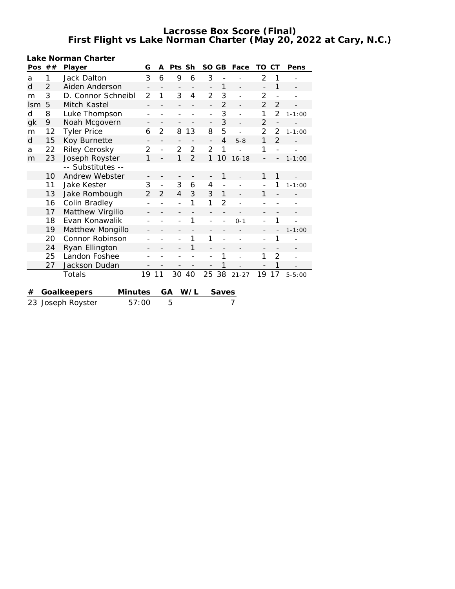**Lacrosse Box Score (Final) First Flight vs Lake Norman Charter (May 20, 2022 at Cary, N.C.)**

| Pos        | ##             | Player                        | G                            | A                        | Pts                          | Sh                | <b>SO</b>                | GB                       | Face      | TO                       | СT                       | Pens       |
|------------|----------------|-------------------------------|------------------------------|--------------------------|------------------------------|-------------------|--------------------------|--------------------------|-----------|--------------------------|--------------------------|------------|
| a          | 1              | Jack Dalton                   | 3                            | 6                        | 9                            | 6                 | 3                        |                          |           | $\overline{2}$           | 1                        |            |
| d          | 2              | Aiden Anderson                | $\qquad \qquad -$            | $\overline{\phantom{0}}$ | $\overline{\phantom{a}}$     | $\qquad \qquad -$ | $\overline{\phantom{0}}$ | 1                        |           | $\overline{\phantom{0}}$ | 1                        |            |
| m          | 3              | D. Connor Schneibl            | $\overline{2}$               | 1                        | 3                            | 4                 | $\overline{2}$           | 3                        | L,        | 2                        |                          |            |
| <b>Ism</b> | 5              | Mitch Kastel                  |                              |                          |                              |                   | $\overline{a}$           | $\overline{2}$           |           | $\overline{2}$           | $\overline{2}$           |            |
| d          | 8              | Luke Thompson                 | $\qquad \qquad \blacksquare$ |                          |                              |                   | $\overline{a}$           | 3                        |           | 1                        | $\overline{2}$           | $1 - 1:00$ |
| gk         | 9              | Noah Mcgovern                 | -                            | -                        | $\overline{\phantom{a}}$     |                   | $\overline{\phantom{0}}$ | 3                        |           | 2                        |                          |            |
| m          | 12             | <b>Tyler Price</b>            | 6                            | $\overline{2}$           | 8                            | 13                | 8                        | 5                        |           | 2                        | 2                        | $1 - 1:00$ |
| d          | 15             | Koy Burnette                  | $\overline{\phantom{0}}$     | $\overline{\phantom{0}}$ | $\overline{a}$               |                   | $\overline{a}$           | $\overline{4}$           | $5 - 8$   | 1                        | $\overline{2}$           |            |
| a          | 22             | Riley Cerosky                 | $\overline{2}$               | $\overline{a}$           | 2                            | $\overline{2}$    | $\overline{2}$           | 1                        |           | 1                        | $\overline{\phantom{0}}$ |            |
| m          | 23             | Joseph Royster                |                              |                          | 1                            | $\overline{2}$    | 1                        | 10                       | $16 - 18$ |                          |                          | $1 - 1:00$ |
|            |                | -- Substitutes --             |                              |                          |                              |                   |                          |                          |           |                          |                          |            |
|            | 10             | Andrew Webster                |                              |                          |                              |                   | $\overline{a}$           | 1                        |           | 1                        | 1                        |            |
|            | 11             | <b>Jake Kester</b>            |                              | $\overline{a}$           | 3                            | 6                 | 4                        | $\overline{\phantom{0}}$ |           |                          | 1                        | $1 - 1:00$ |
|            | 13             | Jake Rombough                 |                              | $\mathcal{P}$            | 4                            | 3                 | 3                        | $\mathbf{1}$             |           | 1                        |                          |            |
|            | 16             | Colin Bradley                 |                              |                          | $\overline{a}$               | 1                 | 1                        | 2                        |           |                          |                          |            |
|            | 17             | Matthew Virgilio              | $\overline{\phantom{a}}$     |                          |                              |                   | $\overline{a}$           |                          |           |                          |                          |            |
|            | 18             | Evan Konawalik                | -                            |                          | $\qquad \qquad \blacksquare$ | 1                 | $\overline{a}$           |                          | $0 - 1$   | $\overline{\phantom{a}}$ | 1                        |            |
|            | 19             | Matthew Mongillo              |                              |                          |                              |                   |                          |                          |           |                          |                          | $1 - 1:00$ |
|            | 20             | Connor Robinson               |                              |                          |                              | 1                 | 1                        |                          |           | $\overline{\phantom{0}}$ | 1                        |            |
|            | 24             | Ryan Ellington                |                              |                          | $\overline{\phantom{0}}$     | 1                 | $\qquad \qquad -$        |                          |           | $\overline{\phantom{m}}$ |                          |            |
|            | 25             | Landon Foshee                 |                              |                          |                              |                   | $\overline{a}$           | 1                        |           | 1                        | $\overline{2}$           |            |
|            | 27             | Jackson Dudan                 |                              |                          |                              |                   |                          | 1                        |           |                          | 1                        |            |
|            |                | Totals                        | 19                           | 11                       | 30                           | 40                | 25                       | 38                       | $21 - 27$ | 19                       | 17                       | $5 - 5:00$ |
|            |                |                               |                              |                          |                              |                   |                          |                          |           |                          |                          |            |
| #          |                | Goalkeepers<br><b>Minutes</b> |                              | GA                       |                              | W/L               |                          | Saves                    |           |                          |                          |            |
| 23         | Joseph Royster | 57:00                         |                              | 5                        |                              |                   |                          | 7                        |           |                          |                          |            |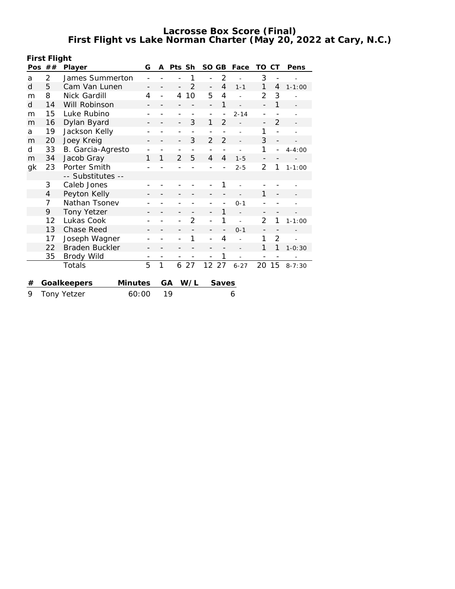**Lacrosse Box Score (Final) First Flight vs Lake Norman Charter (May 20, 2022 at Cary, N.C.)**

| First Flight |                             |                    |         |    |    |                          |               |                          |                |          |                          |                              |                   |
|--------------|-----------------------------|--------------------|---------|----|----|--------------------------|---------------|--------------------------|----------------|----------|--------------------------|------------------------------|-------------------|
|              | Pos $##$                    | G<br>Player        |         |    | A  | Pts Sh                   |               | SO GB                    |                | Face     | TO                       | СT                           | Pens              |
| a            | 2                           | James Summerton    |         |    |    |                          | 1             |                          | $\overline{2}$ |          | 3                        | $\qquad \qquad \blacksquare$ |                   |
| d            | 5                           | Cam Van Lunen      |         |    |    |                          | $\mathcal{P}$ | $\overline{a}$           | $\overline{4}$ | $1 - 1$  | 1                        | 4                            | $1 - 1:00$        |
| m            | 8                           | Nick Gardill       |         | 4  |    | 4                        | 10            | 5                        | $\overline{4}$ |          | 2                        | 3                            |                   |
| d            | 14                          | Will Robinson      |         |    |    |                          |               | $\overline{\phantom{0}}$ | 1              |          | $\overline{\phantom{0}}$ | 1                            | $\qquad \qquad =$ |
| m            | 15                          | Luke Rubino        |         |    |    |                          |               | $\overline{\phantom{0}}$ |                | $2 - 14$ | $\qquad \qquad -$        |                              |                   |
| m            | 16                          | Dylan Byard        |         |    |    | $\overline{\phantom{0}}$ | 3             | 1                        | $\overline{2}$ |          | $\qquad \qquad -$        | $\overline{2}$               |                   |
| a            | 19                          | Jackson Kelly      |         |    |    |                          |               |                          |                |          | 1                        |                              |                   |
| m            | 20                          | Joey Kreig         |         |    |    | -                        | 3             | 2                        | $\overline{2}$ |          | 3                        |                              |                   |
| d            | 33                          | B. Garcia-Agresto  |         |    |    |                          |               | $\overline{\phantom{0}}$ |                |          | 1                        |                              | $4 - 4:00$        |
| m            | 34                          | Jacob Gray         |         | 1  | 1  | 2                        | 5             | $\overline{4}$           | $\overline{4}$ | $1 - 5$  | $\overline{\phantom{a}}$ |                              |                   |
| gk           | 23                          | Porter Smith       |         |    |    |                          |               |                          |                | $2 - 5$  | $\overline{2}$           | 1                            | $1 - 1:00$        |
|              |                             | -- Substitutes --  |         |    |    |                          |               |                          |                |          |                          |                              |                   |
|              | 3                           | Caleb Jones        |         |    |    |                          |               |                          | 1              |          |                          |                              |                   |
|              | $\overline{4}$              | Peyton Kelly       |         |    |    |                          |               |                          |                |          | 1                        |                              |                   |
|              | 7                           | Nathan Tsonev      |         |    |    |                          |               |                          |                | $0 - 1$  |                          |                              |                   |
|              | 9                           | <b>Tony Yetzer</b> |         |    |    | -                        |               |                          | 1              |          | -                        |                              |                   |
|              | 12                          | Lukas Cook         |         |    |    |                          | 2             |                          | 1              |          | 2                        | 1                            | $1 - 1:00$        |
|              | 13                          | <b>Chase Reed</b>  |         |    |    |                          |               |                          |                | $0 - 1$  | $\overline{\phantom{0}}$ |                              |                   |
|              | 17                          | Joseph Wagner      |         |    |    |                          | 1             | -                        | $\overline{4}$ |          | 1                        | $\overline{2}$               |                   |
|              | 22                          | Braden Buckler     |         |    |    |                          |               |                          |                |          | 1                        | 1                            | $1 - 0:30$        |
|              | 35                          | <b>Brody Wild</b>  |         |    |    |                          |               |                          | 1              |          |                          |                              |                   |
|              |                             | Totals             |         | 5  | 1  | 6                        | 27            | 12                       | 27             | $6 - 27$ | 20                       | 15                           | $8 - 7:30$        |
|              |                             |                    |         |    |    |                          |               |                          |                |          |                          |                              |                   |
| #            |                             | Goalkeepers        | Minutes |    | GA |                          | W/L           |                          | <b>Saves</b>   |          |                          |                              |                   |
| 9            | <b>Tony Yetzer</b><br>60:00 |                    |         | 19 |    |                          |               |                          | 6              |          |                          |                              |                   |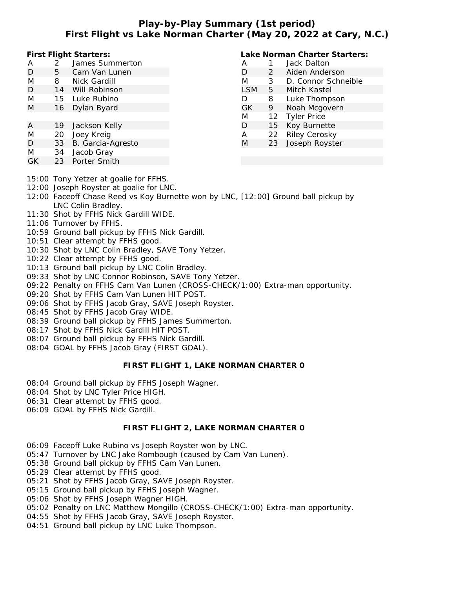# **Play-by-Play Summary (1st period) First Flight vs Lake Norman Charter (May 20, 2022 at Cary, N.C.)**

**First Flight Starters:**

- A 2 James Summerton
- D 5 Cam Van Lunen
- M 8 Nick Gardill
- D 14 Will Robinson
- M 15 Luke Rubino M 16 Dylan Byard
- A 19 Jackson Kelly
- M 20 Joey Kreig
- D 33 B. Garcia-Agresto
- M 34 Jacob Gray
- GK 23 Porter Smith
- 15:00 Tony Yetzer at goalie for FFHS.
- 12:00 Joseph Royster at goalie for LNC.
- 12:00 Faceoff Chase Reed vs Koy Burnette won by LNC, [12:00] Ground ball pickup by LNC Colin Bradley.
- 11:30 Shot by FFHS Nick Gardill WIDE.
- 11:06 Turnover by FFHS.
- 10:59 Ground ball pickup by FFHS Nick Gardill.
- 10:51 Clear attempt by FFHS good.
- 10:30 Shot by LNC Colin Bradley, SAVE Tony Yetzer.
- 10:22 Clear attempt by FFHS good.
- 10:13 Ground ball pickup by LNC Colin Bradley.
- 09:33 Shot by LNC Connor Robinson, SAVE Tony Yetzer.
- 09:22 Penalty on FFHS Cam Van Lunen (CROSS-CHECK/1:00) Extra-man opportunity.
- 09:20 Shot by FFHS Cam Van Lunen HIT POST.
- 09:06 Shot by FFHS Jacob Gray, SAVE Joseph Royster.
- 08:45 Shot by FFHS Jacob Gray WIDE.
- 08:39 Ground ball pickup by FFHS James Summerton.
- 08:17 Shot by FFHS Nick Gardill HIT POST.
- 08:07 Ground ball pickup by FFHS Nick Gardill.
- 08:04 GOAL by FFHS Jacob Gray (FIRST GOAL).

## **FIRST FLIGHT 1, LAKE NORMAN CHARTER 0**

- 08:04 Ground ball pickup by FFHS Joseph Wagner.
- 08:04 Shot by LNC Tyler Price HIGH.
- 06:31 Clear attempt by FFHS good.
- 06:09 GOAL by FFHS Nick Gardill.

## **FIRST FLIGHT 2, LAKE NORMAN CHARTER 0**

- 06:09 Faceoff Luke Rubino vs Joseph Royster won by LNC.
- 05:47 Turnover by LNC Jake Rombough (caused by Cam Van Lunen).
- 05:38 Ground ball pickup by FFHS Cam Van Lunen.
- 05:29 Clear attempt by FFHS good.
- 05:21 Shot by FFHS Jacob Gray, SAVE Joseph Royster.
- 05:15 Ground ball pickup by FFHS Joseph Wagner.
- 05:06 Shot by FFHS Joseph Wagner HIGH.
- 05:02 Penalty on LNC Matthew Mongillo (CROSS-CHECK/1:00) Extra-man opportunity.
- 04:55 Shot by FFHS Jacob Gray, SAVE Joseph Royster.
- 04:51 Ground ball pickup by LNC Luke Thompson.

# **Lake Norman Charter Starters:**

| А          |         | Jack Dalton          |
|------------|---------|----------------------|
| D          | 2       | Aiden Anderson       |
| M          | 3       | D. Connor Schneible  |
| <b>LSM</b> | 5       | Mitch Kastel         |
| D          | 8       | Luke Thompson        |
| <b>GK</b>  | 9       | Noah Mcgovern        |
| M          | $12 \,$ | <b>Tyler Price</b>   |
| D          | 15      | Koy Burnette         |
| А          | 22      | <b>Riley Cerosky</b> |
| M          | 23      | Joseph Royster       |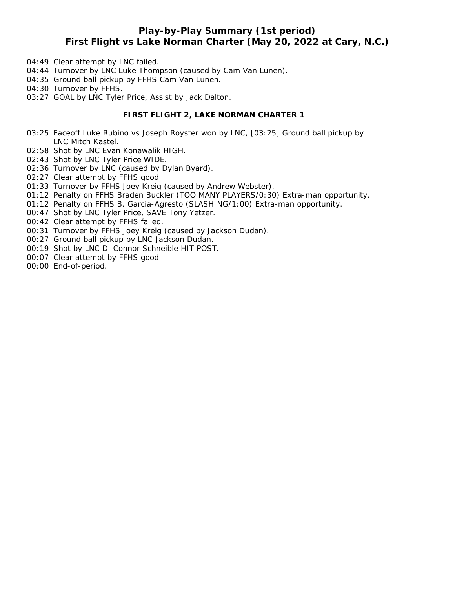# **Play-by-Play Summary (1st period) First Flight vs Lake Norman Charter (May 20, 2022 at Cary, N.C.)**

- 04:49 Clear attempt by LNC failed.
- 04:44 Turnover by LNC Luke Thompson (caused by Cam Van Lunen).
- 04:35 Ground ball pickup by FFHS Cam Van Lunen.
- 04:30 Turnover by FFHS.
- 03:27 GOAL by LNC Tyler Price, Assist by Jack Dalton.

### **FIRST FLIGHT 2, LAKE NORMAN CHARTER 1**

- 03:25 Faceoff Luke Rubino vs Joseph Royster won by LNC, [03:25] Ground ball pickup by LNC Mitch Kastel.
- 02:58 Shot by LNC Evan Konawalik HIGH.
- 02:43 Shot by LNC Tyler Price WIDE.
- 02:36 Turnover by LNC (caused by Dylan Byard).
- 02:27 Clear attempt by FFHS good.
- 01:33 Turnover by FFHS Joey Kreig (caused by Andrew Webster).
- 01:12 Penalty on FFHS Braden Buckler (TOO MANY PLAYERS/0:30) Extra-man opportunity.
- 01:12 Penalty on FFHS B. Garcia-Agresto (SLASHING/1:00) Extra-man opportunity.
- 00:47 Shot by LNC Tyler Price, SAVE Tony Yetzer.
- 00:42 Clear attempt by FFHS failed.
- 00:31 Turnover by FFHS Joey Kreig (caused by Jackson Dudan).
- 00:27 Ground ball pickup by LNC Jackson Dudan.
- 00:19 Shot by LNC D. Connor Schneible HIT POST.
- 00:07 Clear attempt by FFHS good.
- 00:00 End-of-period.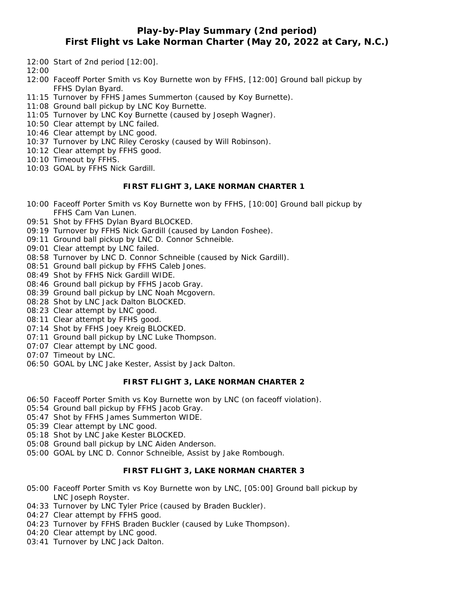## **Play-by-Play Summary (2nd period) First Flight vs Lake Norman Charter (May 20, 2022 at Cary, N.C.)**

- 12:00 Start of 2nd period [12:00].
- 12:00
- 12:00 Faceoff Porter Smith vs Koy Burnette won by FFHS, [12:00] Ground ball pickup by FFHS Dylan Byard.
- 11:15 Turnover by FFHS James Summerton (caused by Koy Burnette).
- 11:08 Ground ball pickup by LNC Koy Burnette.
- 11:05 Turnover by LNC Koy Burnette (caused by Joseph Wagner).
- 10:50 Clear attempt by LNC failed.
- 10:46 Clear attempt by LNC good.
- 10:37 Turnover by LNC Riley Cerosky (caused by Will Robinson).
- 10:12 Clear attempt by FFHS good.
- 10:10 Timeout by FFHS.
- 10:03 GOAL by FFHS Nick Gardill.

#### **FIRST FLIGHT 3, LAKE NORMAN CHARTER 1**

- 10:00 Faceoff Porter Smith vs Koy Burnette won by FFHS, [10:00] Ground ball pickup by FFHS Cam Van Lunen.
- 09:51 Shot by FFHS Dylan Byard BLOCKED.
- 09:19 Turnover by FFHS Nick Gardill (caused by Landon Foshee).
- 09:11 Ground ball pickup by LNC D. Connor Schneible.
- 09:01 Clear attempt by LNC failed.
- 08:58 Turnover by LNC D. Connor Schneible (caused by Nick Gardill).
- 08:51 Ground ball pickup by FFHS Caleb Jones.
- 08:49 Shot by FFHS Nick Gardill WIDE.
- 08:46 Ground ball pickup by FFHS Jacob Gray.
- 08:39 Ground ball pickup by LNC Noah Mcgovern.
- 08:28 Shot by LNC Jack Dalton BLOCKED.
- 08:23 Clear attempt by LNC good.
- 08:11 Clear attempt by FFHS good.
- 07:14 Shot by FFHS Joey Kreig BLOCKED.
- 07:11 Ground ball pickup by LNC Luke Thompson.
- 07:07 Clear attempt by LNC good.
- 07:07 Timeout by LNC.
- 06:50 GOAL by LNC Jake Kester, Assist by Jack Dalton.

#### **FIRST FLIGHT 3, LAKE NORMAN CHARTER 2**

- 06:50 Faceoff Porter Smith vs Koy Burnette won by LNC (on faceoff violation).
- 05:54 Ground ball pickup by FFHS Jacob Gray.
- 05:47 Shot by FFHS James Summerton WIDE.
- 05:39 Clear attempt by LNC good.
- 05:18 Shot by LNC Jake Kester BLOCKED.
- 05:08 Ground ball pickup by LNC Aiden Anderson.
- 05:00 GOAL by LNC D. Connor Schneible, Assist by Jake Rombough.

### **FIRST FLIGHT 3, LAKE NORMAN CHARTER 3**

- 05:00 Faceoff Porter Smith vs Koy Burnette won by LNC, [05:00] Ground ball pickup by LNC Joseph Royster.
- 04:33 Turnover by LNC Tyler Price (caused by Braden Buckler).
- 04:27 Clear attempt by FFHS good.
- 04:23 Turnover by FFHS Braden Buckler (caused by Luke Thompson).
- 04:20 Clear attempt by LNC good.
- 03:41 Turnover by LNC Jack Dalton.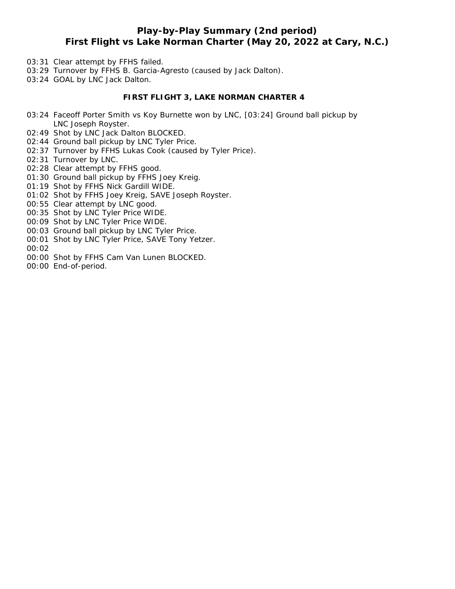# **Play-by-Play Summary (2nd period) First Flight vs Lake Norman Charter (May 20, 2022 at Cary, N.C.)**

- 03:31 Clear attempt by FFHS failed.
- 03:29 Turnover by FFHS B. Garcia-Agresto (caused by Jack Dalton).
- 03:24 GOAL by LNC Jack Dalton.

### **FIRST FLIGHT 3, LAKE NORMAN CHARTER 4**

- 03:24 Faceoff Porter Smith vs Koy Burnette won by LNC, [03:24] Ground ball pickup by LNC Joseph Royster.
- 02:49 Shot by LNC Jack Dalton BLOCKED.
- 02:44 Ground ball pickup by LNC Tyler Price.
- 02:37 Turnover by FFHS Lukas Cook (caused by Tyler Price).
- 02:31 Turnover by LNC.
- 02:28 Clear attempt by FFHS good.
- 01:30 Ground ball pickup by FFHS Joey Kreig.
- 01:19 Shot by FFHS Nick Gardill WIDE.
- 01:02 Shot by FFHS Joey Kreig, SAVE Joseph Royster.
- 00:55 Clear attempt by LNC good.
- 00:35 Shot by LNC Tyler Price WIDE.
- 00:09 Shot by LNC Tyler Price WIDE.
- 00:03 Ground ball pickup by LNC Tyler Price.
- 00:01 Shot by LNC Tyler Price, SAVE Tony Yetzer.
- 00:02
- 00:00 Shot by FFHS Cam Van Lunen BLOCKED.
- 00:00 End-of-period.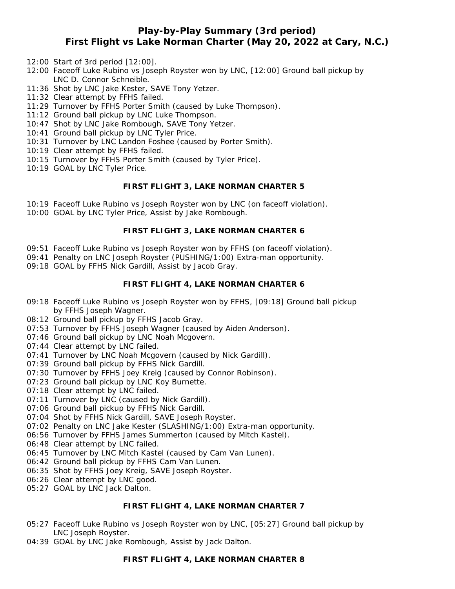# **Play-by-Play Summary (3rd period) First Flight vs Lake Norman Charter (May 20, 2022 at Cary, N.C.)**

- 12:00 Start of 3rd period [12:00].
- 12:00 Faceoff Luke Rubino vs Joseph Royster won by LNC, [12:00] Ground ball pickup by LNC D. Connor Schneible.
- 11:36 Shot by LNC Jake Kester, SAVE Tony Yetzer.
- 11:32 Clear attempt by FFHS failed.
- 11:29 Turnover by FFHS Porter Smith (caused by Luke Thompson).
- 11:12 Ground ball pickup by LNC Luke Thompson.
- 10:47 Shot by LNC Jake Rombough, SAVE Tony Yetzer.
- 10:41 Ground ball pickup by LNC Tyler Price.
- 10:31 Turnover by LNC Landon Foshee (caused by Porter Smith).
- 10:19 Clear attempt by FFHS failed.
- 10:15 Turnover by FFHS Porter Smith (caused by Tyler Price).
- 10:19 GOAL by LNC Tyler Price.

### **FIRST FLIGHT 3, LAKE NORMAN CHARTER 5**

- 10:19 Faceoff Luke Rubino vs Joseph Royster won by LNC (on faceoff violation).
- 10:00 GOAL by LNC Tyler Price, Assist by Jake Rombough.

#### **FIRST FLIGHT 3, LAKE NORMAN CHARTER 6**

- 09:51 Faceoff Luke Rubino vs Joseph Royster won by FFHS (on faceoff violation).
- 09:41 Penalty on LNC Joseph Royster (PUSHING/1:00) Extra-man opportunity.
- 09:18 GOAL by FFHS Nick Gardill, Assist by Jacob Gray.

### **FIRST FLIGHT 4, LAKE NORMAN CHARTER 6**

- 09:18 Faceoff Luke Rubino vs Joseph Royster won by FFHS, [09:18] Ground ball pickup by FFHS Joseph Wagner.
- 08:12 Ground ball pickup by FFHS Jacob Gray.
- 07:53 Turnover by FFHS Joseph Wagner (caused by Aiden Anderson).
- 07:46 Ground ball pickup by LNC Noah Mcgovern.
- 07:44 Clear attempt by LNC failed.
- 07:41 Turnover by LNC Noah Mcgovern (caused by Nick Gardill).
- 07:39 Ground ball pickup by FFHS Nick Gardill.
- 07:30 Turnover by FFHS Joey Kreig (caused by Connor Robinson).
- 07:23 Ground ball pickup by LNC Koy Burnette.
- 07:18 Clear attempt by LNC failed.
- 07:11 Turnover by LNC (caused by Nick Gardill).
- 07:06 Ground ball pickup by FFHS Nick Gardill.
- 07:04 Shot by FFHS Nick Gardill, SAVE Joseph Royster.
- 07:02 Penalty on LNC Jake Kester (SLASHING/1:00) Extra-man opportunity.
- 06:56 Turnover by FFHS James Summerton (caused by Mitch Kastel).
- 06:48 Clear attempt by LNC failed.
- 06:45 Turnover by LNC Mitch Kastel (caused by Cam Van Lunen).
- 06:42 Ground ball pickup by FFHS Cam Van Lunen.
- 06:35 Shot by FFHS Joey Kreig, SAVE Joseph Royster.
- 06:26 Clear attempt by LNC good.
- 05:27 GOAL by LNC Jack Dalton.

#### **FIRST FLIGHT 4, LAKE NORMAN CHARTER 7**

- 05:27 Faceoff Luke Rubino vs Joseph Royster won by LNC, [05:27] Ground ball pickup by LNC Joseph Royster.
- 04:39 GOAL by LNC Jake Rombough, Assist by Jack Dalton.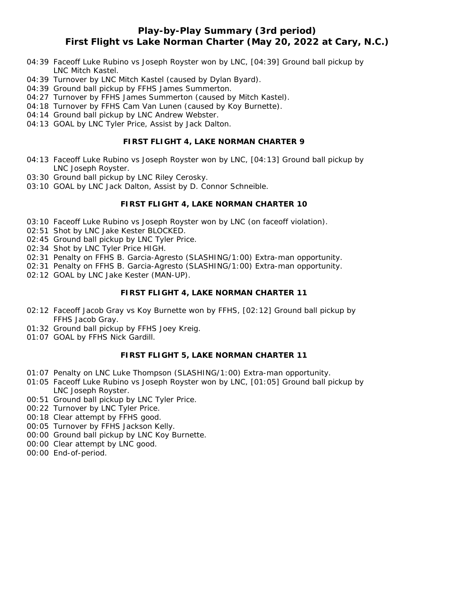# **Play-by-Play Summary (3rd period) First Flight vs Lake Norman Charter (May 20, 2022 at Cary, N.C.)**

- 04:39 Faceoff Luke Rubino vs Joseph Royster won by LNC, [04:39] Ground ball pickup by LNC Mitch Kastel.
- 04:39 Turnover by LNC Mitch Kastel (caused by Dylan Byard).
- 04:39 Ground ball pickup by FFHS James Summerton.
- 04:27 Turnover by FFHS James Summerton (caused by Mitch Kastel).
- 04:18 Turnover by FFHS Cam Van Lunen (caused by Koy Burnette).
- 04:14 Ground ball pickup by LNC Andrew Webster.
- 04:13 GOAL by LNC Tyler Price, Assist by Jack Dalton.

#### **FIRST FLIGHT 4, LAKE NORMAN CHARTER 9**

- 04:13 Faceoff Luke Rubino vs Joseph Royster won by LNC, [04:13] Ground ball pickup by LNC Joseph Royster.
- 03:30 Ground ball pickup by LNC Riley Cerosky.
- 03:10 GOAL by LNC Jack Dalton, Assist by D. Connor Schneible.

### **FIRST FLIGHT 4, LAKE NORMAN CHARTER 10**

- 03:10 Faceoff Luke Rubino vs Joseph Royster won by LNC (on faceoff violation).
- 02:51 Shot by LNC Jake Kester BLOCKED.
- 02:45 Ground ball pickup by LNC Tyler Price.
- 02:34 Shot by LNC Tyler Price HIGH.
- 02:31 Penalty on FFHS B. Garcia-Agresto (SLASHING/1:00) Extra-man opportunity.
- 02:31 Penalty on FFHS B. Garcia-Agresto (SLASHING/1:00) Extra-man opportunity.
- 02:12 GOAL by LNC Jake Kester (MAN-UP).

#### **FIRST FLIGHT 4, LAKE NORMAN CHARTER 11**

- 02:12 Faceoff Jacob Gray vs Koy Burnette won by FFHS, [02:12] Ground ball pickup by FFHS Jacob Gray.
- 01:32 Ground ball pickup by FFHS Joey Kreig.
- 01:07 GOAL by FFHS Nick Gardill.

#### **FIRST FLIGHT 5, LAKE NORMAN CHARTER 11**

- 01:07 Penalty on LNC Luke Thompson (SLASHING/1:00) Extra-man opportunity.
- 01:05 Faceoff Luke Rubino vs Joseph Royster won by LNC, [01:05] Ground ball pickup by LNC Joseph Royster.
- 00:51 Ground ball pickup by LNC Tyler Price.
- 00:22 Turnover by LNC Tyler Price.
- 00:18 Clear attempt by FFHS good.
- 00:05 Turnover by FFHS Jackson Kelly.
- 00:00 Ground ball pickup by LNC Koy Burnette.
- 00:00 Clear attempt by LNC good.
- 00:00 End-of-period.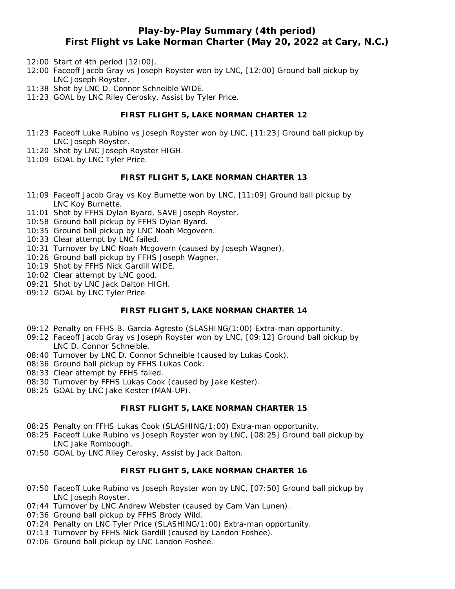## **Play-by-Play Summary (4th period) First Flight vs Lake Norman Charter (May 20, 2022 at Cary, N.C.)**

- 12:00 Start of 4th period [12:00].
- 12:00 Faceoff Jacob Gray vs Joseph Royster won by LNC, [12:00] Ground ball pickup by LNC Joseph Royster.
- 11:38 Shot by LNC D. Connor Schneible WIDE.
- 11:23 GOAL by LNC Riley Cerosky, Assist by Tyler Price.

## **FIRST FLIGHT 5, LAKE NORMAN CHARTER 12**

- 11:23 Faceoff Luke Rubino vs Joseph Royster won by LNC, [11:23] Ground ball pickup by LNC Joseph Royster.
- 11:20 Shot by LNC Joseph Royster HIGH.
- 11:09 GOAL by LNC Tyler Price.

#### **FIRST FLIGHT 5, LAKE NORMAN CHARTER 13**

- 11:09 Faceoff Jacob Gray vs Koy Burnette won by LNC, [11:09] Ground ball pickup by LNC Koy Burnette.
- 11:01 Shot by FFHS Dylan Byard, SAVE Joseph Royster.
- 10:58 Ground ball pickup by FFHS Dylan Byard.
- 10:35 Ground ball pickup by LNC Noah Mcgovern.
- 10:33 Clear attempt by LNC failed.
- 10:31 Turnover by LNC Noah Mcgovern (caused by Joseph Wagner).
- 10:26 Ground ball pickup by FFHS Joseph Wagner.
- 10:19 Shot by FFHS Nick Gardill WIDE.
- 10:02 Clear attempt by LNC good.
- 09:21 Shot by LNC Jack Dalton HIGH.
- 09:12 GOAL by LNC Tyler Price.

## **FIRST FLIGHT 5, LAKE NORMAN CHARTER 14**

- 09:12 Penalty on FFHS B. Garcia-Agresto (SLASHING/1:00) Extra-man opportunity.
- 09:12 Faceoff Jacob Gray vs Joseph Royster won by LNC, [09:12] Ground ball pickup by LNC D. Connor Schneible.
- 08:40 Turnover by LNC D. Connor Schneible (caused by Lukas Cook).
- 08:36 Ground ball pickup by FFHS Lukas Cook.
- 08:33 Clear attempt by FFHS failed.
- 08:30 Turnover by FFHS Lukas Cook (caused by Jake Kester).
- 08:25 GOAL by LNC Jake Kester (MAN-UP).

#### **FIRST FLIGHT 5, LAKE NORMAN CHARTER 15**

- 08:25 Penalty on FFHS Lukas Cook (SLASHING/1:00) Extra-man opportunity.
- 08:25 Faceoff Luke Rubino vs Joseph Royster won by LNC, [08:25] Ground ball pickup by LNC Jake Rombough.
- 07:50 GOAL by LNC Riley Cerosky, Assist by Jack Dalton.

### **FIRST FLIGHT 5, LAKE NORMAN CHARTER 16**

- 07:50 Faceoff Luke Rubino vs Joseph Royster won by LNC, [07:50] Ground ball pickup by LNC Joseph Royster.
- 07:44 Turnover by LNC Andrew Webster (caused by Cam Van Lunen).
- 07:36 Ground ball pickup by FFHS Brody Wild.
- 07:24 Penalty on LNC Tyler Price (SLASHING/1:00) Extra-man opportunity.
- 07:13 Turnover by FFHS Nick Gardill (caused by Landon Foshee).
- 07:06 Ground ball pickup by LNC Landon Foshee.